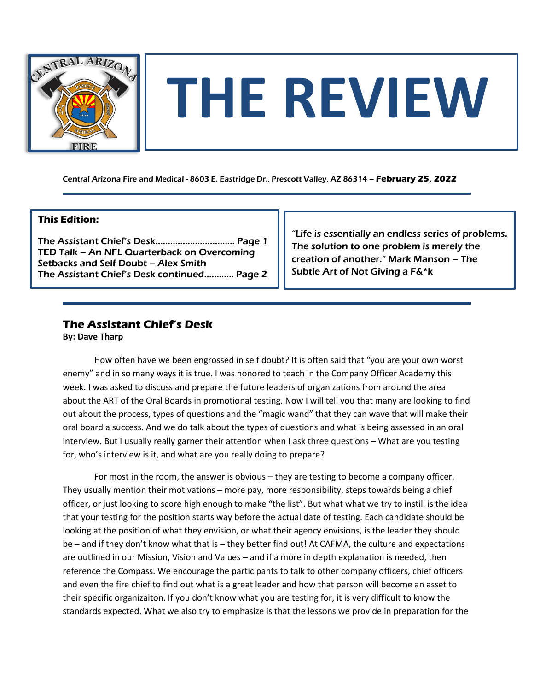

# **THE REVIEW**

Central Arizona Fire and Medical - 8603 E. Eastridge Dr., Prescott Valley, AZ 86314 – **February 25, 2022**

### **This Edition:**

The Assistant Chief's Desk…………………..……… Page 1 TED Talk – An NFL Quarterback on Overcoming Setbacks and Self Doubt – Alex Smith The Assistant Chief's Desk continued………… Page 2

"Life is essentially an endless series of problems. The solution to one problem is merely the creation of another." Mark Manson – The Subtle Art of Not Giving a F&\*k

## **The Assistant Chief's Desk**

**By: Dave Tharp**

How often have we been engrossed in self doubt? It is often said that "you are your own worst enemy" and in so many ways it is true. I was honored to teach in the Company Officer Academy this week. I was asked to discuss and prepare the future leaders of organizations from around the area about the ART of the Oral Boards in promotional testing. Now I will tell you that many are looking to find out about the process, types of questions and the "magic wand" that they can wave that will make their oral board a success. And we do talk about the types of questions and what is being assessed in an oral interview. But I usually really garner their attention when I ask three questions – What are you testing for, who's interview is it, and what are you really doing to prepare?

For most in the room, the answer is obvious – they are testing to become a company officer. They usually mention their motivations – more pay, more responsibility, steps towards being a chief officer, or just looking to score high enough to make "the list". But what what we try to instill is the idea that your testing for the position starts way before the actual date of testing. Each candidate should be looking at the position of what they envision, or what their agency envisions, is the leader they should be – and if they don't know what that is – they better find out! At CAFMA, the culture and expectations are outlined in our Mission, Vision and Values – and if a more in depth explanation is needed, then reference the Compass. We encourage the participants to talk to other company officers, chief officers and even the fire chief to find out what is a great leader and how that person will become an asset to their specific organizaiton. If you don't know what you are testing for, it is very difficult to know the standards expected. What we also try to emphasize is that the lessons we provide in preparation for the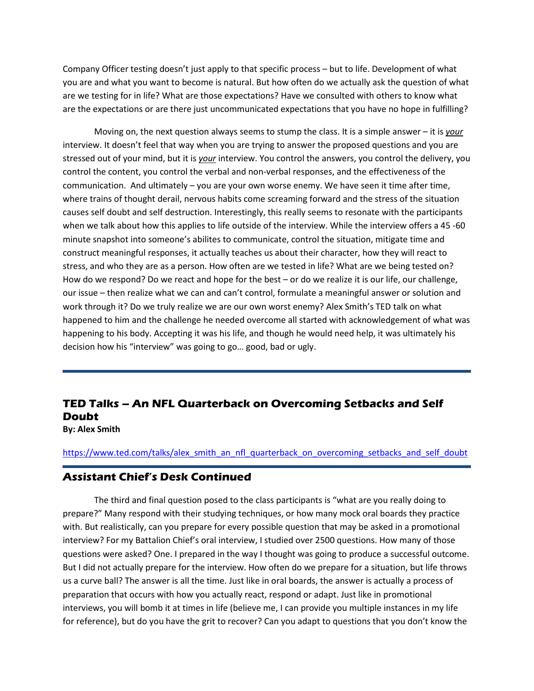Company Officer testing doesn't just apply to that specific process – but to life. Development of what you are and what you want to become is natural. But how often do we actually ask the question of what are we testing for in life? What are those expectations? Have we consulted with others to know what are the expectations or are there just uncommunicated expectations that you have no hope in fulfilling?

Moving on, the next question always seems to stump the class. It is a simple answer – it is *your*  interview. It doesn't feel that way when you are trying to answer the proposed questions and you are stressed out of your mind, but it is *your* interview. You control the answers, you control the delivery, you control the content, you control the verbal and non-verbal responses, and the effectiveness of the communication. And ultimately – you are your own worse enemy. We have seen it time after time, where trains of thought derail, nervous habits come screaming forward and the stress of the situation causes self doubt and self destruction. Interestingly, this really seems to resonate with the participants when we talk about how this applies to life outside of the interview. While the interview offers a 45 -60 minute snapshot into someone's abilites to communicate, control the situation, mitigate time and construct meaningful responses, it actually teaches us about their character, how they will react to stress, and who they are as a person. How often are we tested in life? What are we being tested on? How do we respond? Do we react and hope for the best – or do we realize it is our life, our challenge, our issue – then realize what we can and can't control, formulate a meaningful answer or solution and work through it? Do we truly realize we are our own worst enemy? Alex Smith's TED talk on what happened to him and the challenge he needed overcome all started with acknowledgement of what was happening to his body. Accepting it was his life, and though he would need help, it was ultimately his decision how his "interview" was going to go… good, bad or ugly.

# **TED Talks – An NFL Quarterback on Overcoming Setbacks and Self Doubt**

**By: Alex Smith**

[https://www.ted.com/talks/alex\\_smith\\_an\\_nfl\\_quarterback\\_on\\_overcoming\\_setbacks\\_and\\_self\\_doubt](https://www.ted.com/talks/alex_smith_an_nfl_quarterback_on_overcoming_setbacks_and_self_doubt)

### **Assistant Chief's Desk Continued**

The third and final question posed to the class participants is "what are you really doing to prepare?" Many respond with their studying techniques, or how many mock oral boards they practice with. But realistically, can you prepare for every possible question that may be asked in a promotional interview? For my Battalion Chief's oral interview, I studied over 2500 questions. How many of those questions were asked? One. I prepared in the way I thought was going to produce a successful outcome. But I did not actually prepare for the interview. How often do we prepare for a situation, but life throws us a curve ball? The answer is all the time. Just like in oral boards, the answer is actually a process of preparation that occurs with how you actually react, respond or adapt. Just like in promotional interviews, you will bomb it at times in life (believe me, I can provide you multiple instances in my life for reference), but do you have the grit to recover? Can you adapt to questions that you don't know the